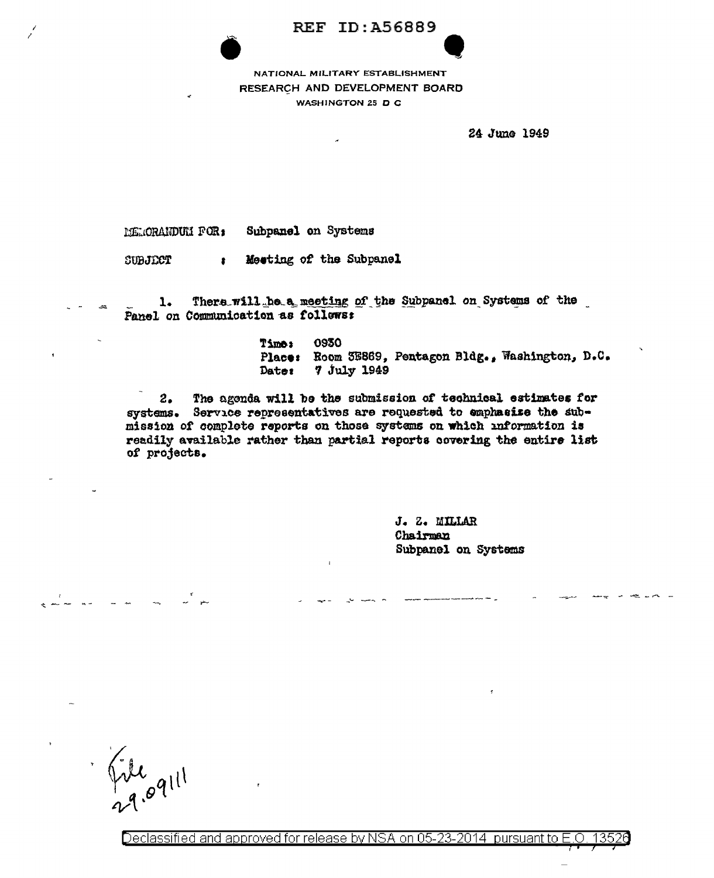## **REF ID: A56889**

NATIONAL MILITARY ESTABLISHMENT RESEARCH AND DEVELOPMENT BOARD WASHINGTON 25 D C

24 June 1949

Subpanel on Systems MEMORANDUM FOR:

Meeting of the Subpanel SUBJECT  $\bullet$ 

There will be a meeting of the Subpanel on Systems of the  $1.$ Panel on Communication as follows:

> **Time:** 0930 Place: Room 3E869, Pentagon Bldg., Washington, D.C. Dater 7 July 1949

The agenda will be the submission of technical estimates for  $2.$ systems. Service representatives are requested to emphasize the submission of complete reports on those systems on which information is readily available rather than partial reports covering the entire list of projects.

> J. Z. MILLAR Chairman Subpanel on Systems

Declassified and approved for release by NSA on 05-23-2014 pursuant to E.O. 13526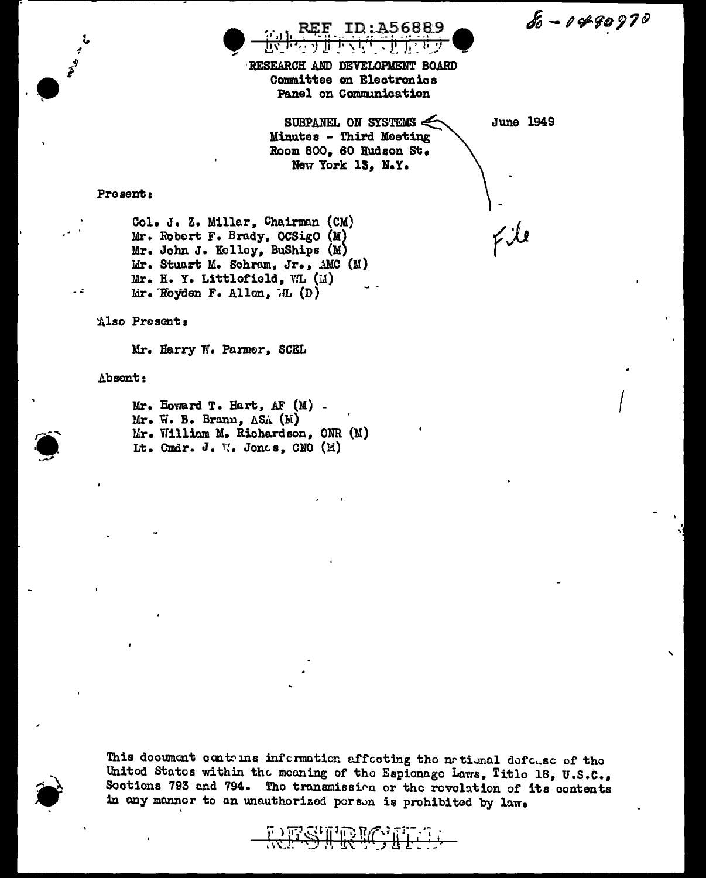$8 - 1499970$ 

ID:A56889

RESEARCH AND DEVELOPMENT BOARD Committee on Electronics Panel on Communication

> SUBPANEL ON SYSTEMS  $\leq$ Minutes - Third Meeting Room 800, 60 Hudson St. New York 13, N.Y.

**June 1949** 

فلأكم

Present:

Col. J. Z. Millar, Chairman (CM) Mr. Robert F. Brady, OCSigO (M) Mr. John J. Kolloy, BuShips (M) Mr. Stuart M. Schram, Jr., AMC  $(M)$ Mr. H. Y. Littlofield, WL (M) Mr. Royden F. Allon,  $\Pi$  (D)

Also Present:

Mr. Harry W. Parmer, SCEL

Absont:

 $\sim$   $\tilde{z}$ 

 $Mr.$  Howard T. Hart, AF  $(M)$  . Mr. W. B. Brann, ASA (M) Mr. William M. Richardson, ONR (M) Lt. Cmdr. J. V. Jones, CNO (M)

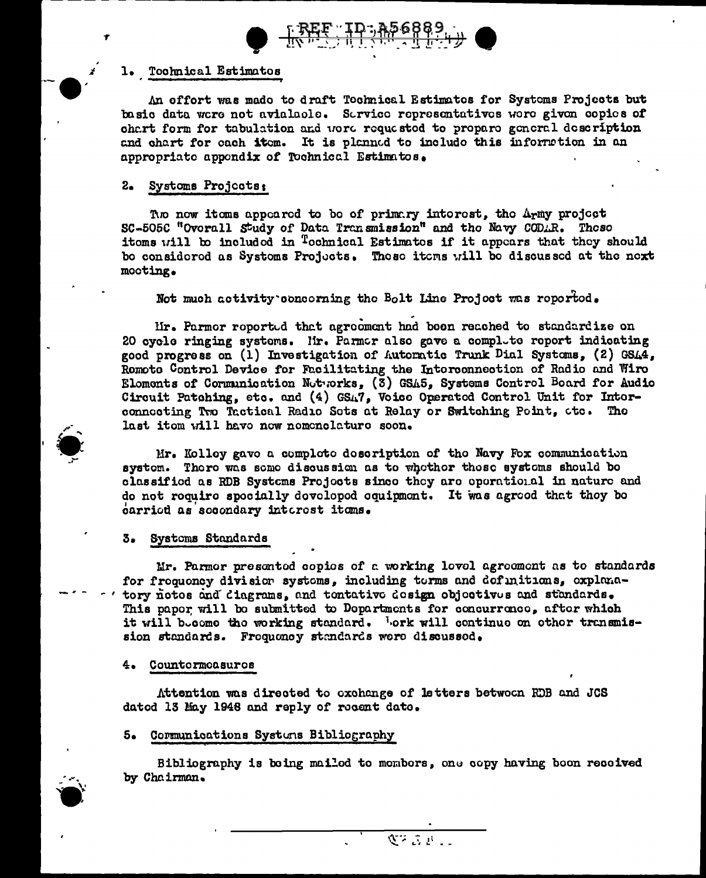



### 1. Toohnical Estimatos

An effort was mado to draft Tochnical Estimates for Systems Projects but basio data were not avialacle. Service representatives were given copies of chart form for tabulation and word requested to propare general description and chart for each item. It is planned to include this information in an appropriate appendix of Tochnical Estimatos.

## 2. Systoms Projects:

The now items appeared to be of primary interest, the Army project SC-505C "Overall Study of Data Transmission" and the Navy CODAR. These itoms will be included in <sup>T</sup>echnical Estimates if it appears that they should bo considered as Systems Projects. These items will be discussed at the next mooting.

Not much activity concerning the Bolt Line Project was reported.

Mr. Parmor roported that agrooment had been reached to standardize on 20 cyclo ringing systems. Hr. Parmar also gave a complete report indicating good progress on (1) Investigation of Autoratic Trunk Dial Systoms, (2) GS44, Romote Control Device for Facilitating the Interconnection of Radio and Wiro Eloments of Communication Networks, (3) GSA5, Systems Control Board for Audio Circuit Patching, etc. and (4) GSA7, Voice Operated Control Unit for Intorconnecting Two Tactical Radio Sots at Relay or Switching Point, etc. The last itom will have now nomenclature soon.

Mr. Kolloy gavo a comploto doscription of the Navy Fox communication system. There was some discussion as to whether these systems should be classified as RDB Systems Projects since they are operational in nature and do not roquire specially developed equipment. It was agreed that they be carried as secondary interest items.

#### 3. Systems Standards

Mr. Parmor presented copies of a working lovel agreement as to standards for frequency division systems, including terms and definitions, explanatory notos and cingrams, and tontative design objectives and standards. This paper will be submitted to Departments for concurrence, after which it will become the working standard. Lork will continue on other transmission standards. Froquoney standards were discussed.

#### 4. Countermoasures

Attention was directed to oxchange of letters betwoon RDB and JCS dated 13 May 1948 and reply of recent date.

## 5. Communications Systems Bibliography

Bibliography is being mailed to members, one copy having been received by Chairman.